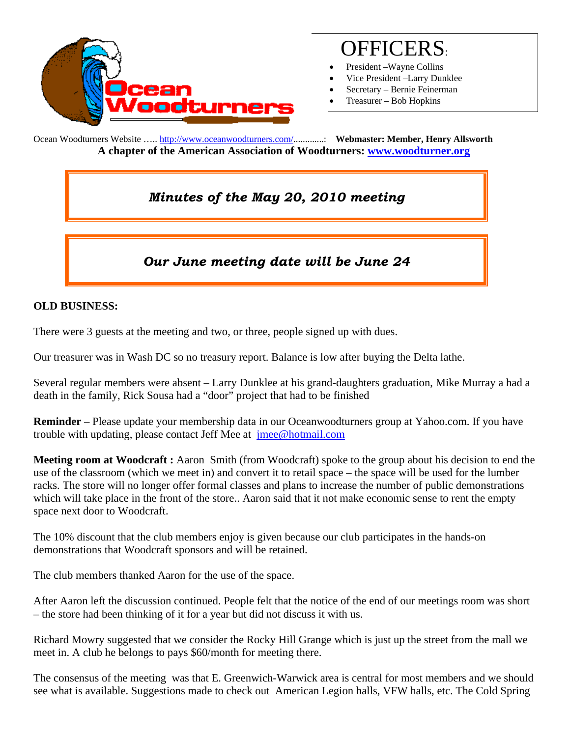

# OFFICERS:

- President –Wayne Collins
- Vice President –Larry Dunklee
- Secretary Bernie Feinerman
- Treasurer Bob Hopkins

Ocean Woodturners Website ….. http://www.oceanwoodturners.com/.............: **Webmaster: Member, Henry Allsworth A chapter of the American Association of Woodturners: www.woodturner.org** 

# *Minutes of the May 20, 2010 meeting*

## *Our June meeting date will be June 24*

#### **OLD BUSINESS:**

There were 3 guests at the meeting and two, or three, people signed up with dues.

Our treasurer was in Wash DC so no treasury report. Balance is low after buying the Delta lathe.

Several regular members were absent – Larry Dunklee at his grand-daughters graduation, Mike Murray a had a death in the family, Rick Sousa had a "door" project that had to be finished

**Reminder** – Please update your membership data in our Oceanwoodturners group at Yahoo.com. If you have trouble with updating, please contact Jeff Mee at jmee@hotmail.com

**Meeting room at Woodcraft :** Aaron Smith (from Woodcraft) spoke to the group about his decision to end the use of the classroom (which we meet in) and convert it to retail space – the space will be used for the lumber racks. The store will no longer offer formal classes and plans to increase the number of public demonstrations which will take place in the front of the store.. Aaron said that it not make economic sense to rent the empty space next door to Woodcraft.

The 10% discount that the club members enjoy is given because our club participates in the hands-on demonstrations that Woodcraft sponsors and will be retained.

The club members thanked Aaron for the use of the space.

After Aaron left the discussion continued. People felt that the notice of the end of our meetings room was short – the store had been thinking of it for a year but did not discuss it with us.

Richard Mowry suggested that we consider the Rocky Hill Grange which is just up the street from the mall we meet in. A club he belongs to pays \$60/month for meeting there.

The consensus of the meeting was that E. Greenwich-Warwick area is central for most members and we should see what is available. Suggestions made to check out American Legion halls, VFW halls, etc. The Cold Spring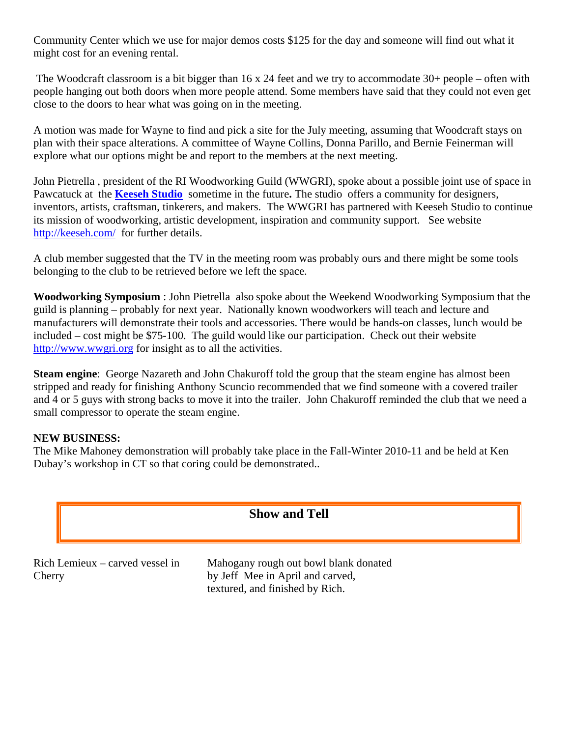Community Center which we use for major demos costs \$125 for the day and someone will find out what it might cost for an evening rental.

 The Woodcraft classroom is a bit bigger than 16 x 24 feet and we try to accommodate 30+ people – often with people hanging out both doors when more people attend. Some members have said that they could not even get close to the doors to hear what was going on in the meeting.

A motion was made for Wayne to find and pick a site for the July meeting, assuming that Woodcraft stays on plan with their space alterations. A committee of Wayne Collins, Donna Parillo, and Bernie Feinerman will explore what our options might be and report to the members at the next meeting.

John Pietrella , president of the RI Woodworking Guild (WWGRI), spoke about a possible joint use of space in Pawcatuck at the **Keeseh Studio** sometime in the future**.** The studio offers a community for designers, inventors, artists, craftsman, tinkerers, and makers. The WWGRI has partnered with Keeseh Studio to continue its mission of woodworking, artistic development, inspiration and community support. See website http://keeseh.com/ for further details.

A club member suggested that the TV in the meeting room was probably ours and there might be some tools belonging to the club to be retrieved before we left the space.

**Woodworking Symposium** : John Pietrella also spoke about the Weekend Woodworking Symposium that the guild is planning – probably for next year. Nationally known woodworkers will teach and lecture and manufacturers will demonstrate their tools and accessories. There would be hands-on classes, lunch would be included – cost might be \$75-100. The guild would like our participation. Check out their website http://www.wwgri.org for insight as to all the activities.

**Steam engine**: George Nazareth and John Chakuroff told the group that the steam engine has almost been stripped and ready for finishing Anthony Scuncio recommended that we find someone with a covered trailer and 4 or 5 guys with strong backs to move it into the trailer. John Chakuroff reminded the club that we need a small compressor to operate the steam engine.

#### **NEW BUSINESS:**

The Mike Mahoney demonstration will probably take place in the Fall-Winter 2010-11 and be held at Ken Dubay's workshop in CT so that coring could be demonstrated..



by Jeff Mee in April and carved, textured, and finished by Rich.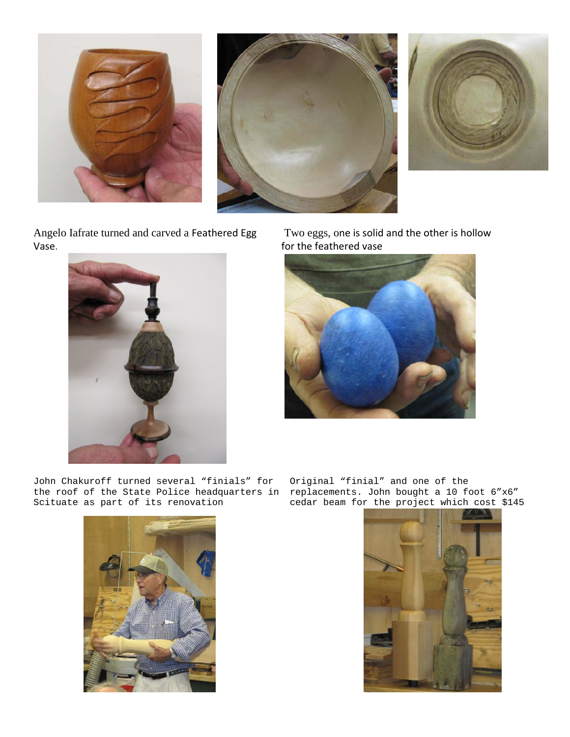





Angelo Iafrate turned and carved a Feathered Egg Vase.



 Two eggs, one is solid and the other is hollow for the feathered vase



John Chakuroff turned several "finials" for the roof of the State Police headquarters in Scituate as part of its renovation



Original "finial" and one of the replacements. John bought a 10 foot 6"x6" cedar beam for the project which cost \$145